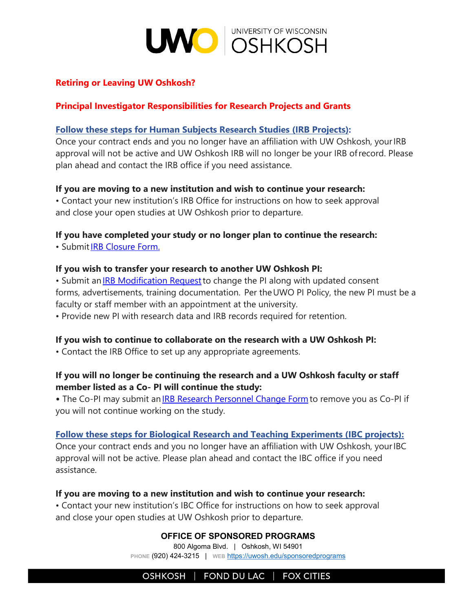

# **Retiring or Leaving UW Oshkosh?**

## **Principal Investigator Responsibilities for Research Projects and Grants**

### **Follow these steps for Human Subjects Research Studies (IRB Projects):**

Once your contract ends and you no longer have an affiliation with UW Oshkosh, your IRB approval will not be active and UW Oshkosh IRB will no longer be your IRB of record. Please plan ahead and contact the IRB office if you need assistance.

#### **If you are moving to a new institution and wish to continue your research:**

• Contact your new institution's IRB Office for instructions on how to seek approval and close your open studies at UW Oshkosh prior to departure.

### **If you have completed your study or no longer plan to continue the research:**

• Submi[t IRB Closure Form.](https://uwosh.edu/sponsoredprograms/irb/forms/)

#### **If you wish to transfer your research to another UW Oshkosh PI:**

• Submit a[n IRB Modification Request t](https://uwosh.edu/sponsoredprograms/irb/forms/)o change the PI along with updated consent forms, advertisements, training documentation.  Per the UWO PI Policy, the new PI must be a faculty or staff member with an appointment at the university.

• Provide new PI with research data and IRB records required for retention.

### **If you wish to continue to collaborate on the research with a UW Oshkosh PI:**

• Contact the IRB Office to set up any appropriate agreements.

## **If you will no longer be continuing the research and a UW Oshkosh faculty or staff member listed as a Co- PI will continue the study:**

• The Co-PI may submit an **IRB Research Personnel Change Form** to remove you as Co-PI if you will not continue working on the study.

#### **Follow these steps for Biological Research and Teaching Experiments (IBC projects):**

Once your contract ends and you no longer have an affiliation with UW Oshkosh, your IBC approval will not be active. Please plan ahead and contact the IBC office if you need assistance.

#### **If you are moving to a new institution and wish to continue your research:**

• Contact your new institution's IBC Office for instructions on how to seek approval and close your open studies at UW Oshkosh prior to departure.

#### **OFFICE OF SPONSORED PROGRAMS**

800 Algoma Blvd. | Oshkosh, WI 54901 **PHONE** (920) 424-3215 | **WEB** <https://uwosh.edu/sponsoredprograms>

OSHKOSH | FOND DU LAC | FOX CITIES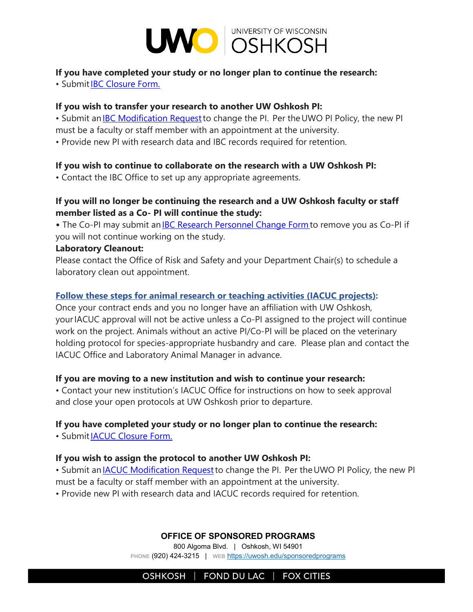

# **If you have completed your study or no longer plan to continue the research:**

• Submi[t IBC Closure Form.](https://uwosh.edu/sponsoredprograms/ibc/forms/)

### **If you wish to transfer your research to another UW Oshkosh PI:**

• Submit an **IBC Modification Request** to change the PI. Per the UWO PI Policy, the new PI

must be a faculty or staff member with an appointment at the university.

• Provide new PI with research data and IBC records required for retention.

## **If you wish to continue to collaborate on the research with a UW Oshkosh PI:**

• Contact the IBC Office to set up any appropriate agreements.

# **If you will no longer be continuing the research and a UW Oshkosh faculty or staff member listed as a Co- PI will continue the study:**

• The Co-PI may submit an **IBC Research Personnel Change Form** to remove you as Co-PI if you will not continue working on the study.

### **Laboratory Cleanout:**

Please contact the Office of Risk and Safety and your Department Chair(s) to schedule a laboratory clean out appointment.

# **Follow these steps for animal research or teaching activities (IACUC projects):**

Once your contract ends and you no longer have an affiliation with UW Oshkosh, your IACUC approval will not be active unless a Co-PI assigned to the project will continue work on the project. Animals without an active PI/Co-PI will be placed on the veterinary holding protocol for species-appropriate husbandry and care. Please plan and contact the IACUC Office and Laboratory Animal Manager in advance.

### **If you are moving to a new institution and wish to continue your research:**

• Contact your new institution's IACUC Office for instructions on how to seek approval and close your open protocols at UW Oshkosh prior to departure.

# **If you have completed your study or no longer plan to continue the research:**

• Submi[t IACUC Closure Form.](https://uwosh.edu/sponsoredprograms/iacuc/forms/)

### **If you wish to assign the protocol to another UW Oshkosh PI:**

• Submit an **IACUC** Modification Request to change the PI. Per the UWO PI Policy, the new PI must be a faculty or staff member with an appointment at the university.

• Provide new PI with research data and IACUC records required for retention.

### **OFFICE OF SPONSORED PROGRAMS**

800 Algoma Blvd. | Oshkosh, WI 54901 **PHONE** (920) 424-3215 | **WEB** <https://uwosh.edu/sponsoredprograms>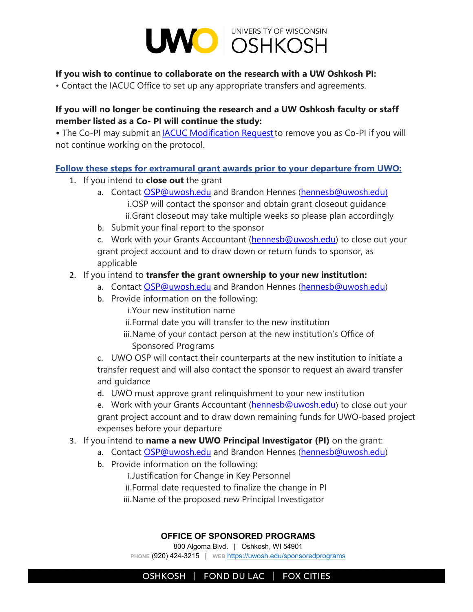

### **If you wish to continue to collaborate on the research with a UW Oshkosh PI:**

• Contact the IACUC Office to set up any appropriate transfers and agreements.

# **If you will no longer be continuing the research and a UW Oshkosh faculty or staff member listed as a Co- PI will continue the study:**

• The Co-PI may submit an **IACUC Modification Request** to remove you as Co-PI if you will not continue working on the protocol.

### **Follow these steps for extramural grant awards prior to your departure from UWO:**

- 1. If you intend to **close out** the grant
	- a. Contact [OSP@uwosh.edu](mailto:OSP@uwosh.edu) and Brandon Hennes [\(hennesb@uwosh.edu\)](mailto:hennesb@uwosh.edu) i.OSP will contact the sponsor and obtain grant closeout guidance ii.Grant closeout may take multiple weeks so please plan accordingly
	- b. Submit your final report to the sponsor

c. Work with your Grants Accountant [\(hennesb@uwosh.edu](mailto:hennesb@uwosh.edu)) to close out your grant project account and to draw down or return funds to sponsor, as applicable

## 2. If you intend to **transfer the grant ownership to your new institution:**

- a. Contact [OSP@uwosh.edu](mailto:OSP@uwosh.edu) and Brandon Hennes [\(hennesb@uwosh.e](mailto:hennesb@uwosh.edu)du)
- b. Provide information on the following:
	- i.Your new institution name
	- ii.Formal date you will transfer to the new institution
	- iii.Name of your contact person at the new institution's Office of Sponsored Programs

c. UWO OSP will contact their counterparts at the new institution to initiate a transfer request and will also contact the sponsor to request an award transfer and guidance

d. UWO must approve grant relinquishment to your new institution

e. Work with your Grants Accountant [\(hennesb@uwosh.edu](mailto:hennesb@uwosh.edu)) to close out your grant project account and to draw down remaining funds for UWO-based project expenses before your departure

# 3. If you intend to **name a new UWO Principal Investigator (PI)** on the grant:

- a. Contact [OSP@uwosh.edu](mailto:OSP@uwosh.edu) and Brandon Hennes [\(hennesb@uwosh.edu](mailto:hennesb@uwosh.edu))
- b. Provide information on the following:

i.Justification for Change in Key Personnel ii.Formal date requested to finalize the change in PI iii.Name of the proposed new Principal Investigator

#### **OFFICE OF SPONSORED PROGRAMS**

800 Algoma Blvd. | Oshkosh, WI 54901 **PHONE** (920) 424-3215 | **WEB** <https://uwosh.edu/sponsoredprograms>